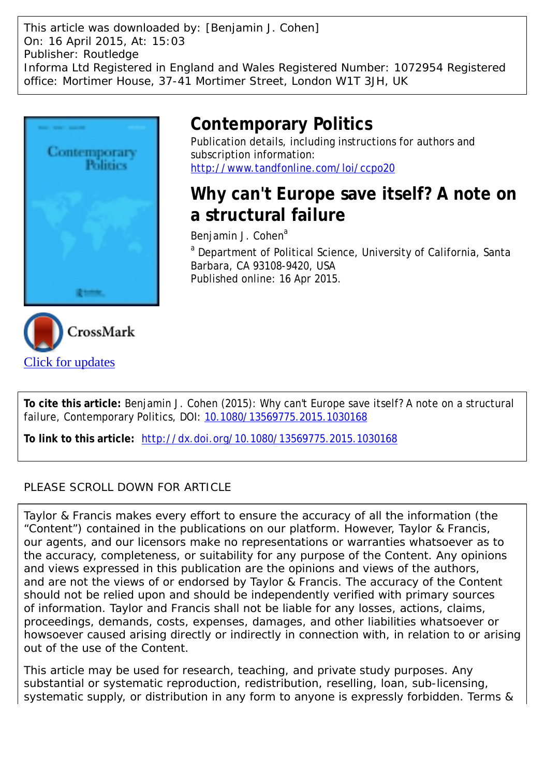This article was downloaded by: [Benjamin J. Cohen] On: 16 April 2015, At: 15:03 Publisher: Routledge Informa Ltd Registered in England and Wales Registered Number: 1072954 Registered office: Mortimer House, 37-41 Mortimer Street, London W1T 3JH, UK



## **Contemporary Politics**

Publication details, including instructions for authors and subscription information: <http://www.tandfonline.com/loi/ccpo20>

# **Why can't Europe save itself? A note on a structural failure**

Benjamin J. Cohen<sup>a</sup> <sup>a</sup> Department of Political Science, University of California, Santa Barbara, CA 93108-9420, USA Published online: 16 Apr 2015.



**To cite this article:** Benjamin J. Cohen (2015): Why can't Europe save itself? A note on a structural failure, Contemporary Politics, DOI: [10.1080/13569775.2015.1030168](http://www.tandfonline.com/action/showCitFormats?doi=10.1080/13569775.2015.1030168)

**To link to this article:** <http://dx.doi.org/10.1080/13569775.2015.1030168>

### PLEASE SCROLL DOWN FOR ARTICLE

Taylor & Francis makes every effort to ensure the accuracy of all the information (the "Content") contained in the publications on our platform. However, Taylor & Francis, our agents, and our licensors make no representations or warranties whatsoever as to the accuracy, completeness, or suitability for any purpose of the Content. Any opinions and views expressed in this publication are the opinions and views of the authors, and are not the views of or endorsed by Taylor & Francis. The accuracy of the Content should not be relied upon and should be independently verified with primary sources of information. Taylor and Francis shall not be liable for any losses, actions, claims, proceedings, demands, costs, expenses, damages, and other liabilities whatsoever or howsoever caused arising directly or indirectly in connection with, in relation to or arising out of the use of the Content.

This article may be used for research, teaching, and private study purposes. Any substantial or systematic reproduction, redistribution, reselling, loan, sub-licensing, systematic supply, or distribution in any form to anyone is expressly forbidden. Terms &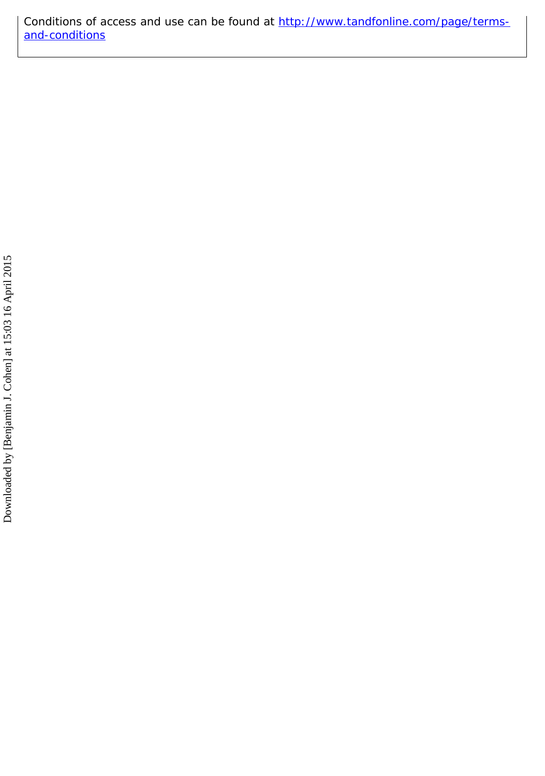Conditions of access and use can be found at [http://www.tandfonline.com/page/terms](http://www.tandfonline.com/page/terms-and-conditions)[and-conditions](http://www.tandfonline.com/page/terms-and-conditions)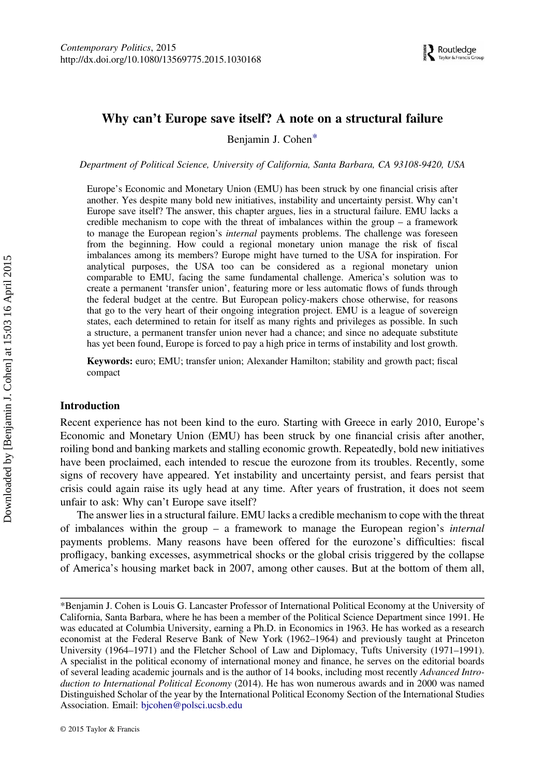### Why can't Europe save itself? A note on a structural failure

Benjamin J. Cohen\*

Department of Political Science, University of California, Santa Barbara, CA 93108-9420, USA

Europe's Economic and Monetary Union (EMU) has been struck by one financial crisis after another. Yes despite many bold new initiatives, instability and uncertainty persist. Why can't Europe save itself? The answer, this chapter argues, lies in a structural failure. EMU lacks a credible mechanism to cope with the threat of imbalances within the group  $-$  a framework to manage the European region's *internal* payments problems. The challenge was foreseen from the beginning. How could a regional monetary union manage the risk of fiscal imbalances among its members? Europe might have turned to the USA for inspiration. For analytical purposes, the USA too can be considered as a regional monetary union comparable to EMU, facing the same fundamental challenge. America's solution was to create a permanent 'transfer union', featuring more or less automatic flows of funds through the federal budget at the centre. But European policy-makers chose otherwise, for reasons that go to the very heart of their ongoing integration project. EMU is a league of sovereign states, each determined to retain for itself as many rights and privileges as possible. In such a structure, a permanent transfer union never had a chance; and since no adequate substitute has yet been found, Europe is forced to pay a high price in terms of instability and lost growth.

Keywords: euro; EMU; transfer union; Alexander Hamilton; stability and growth pact; fiscal compact

#### Introduction

Recent experience has not been kind to the euro. Starting with Greece in early 2010, Europe's Economic and Monetary Union (EMU) has been struck by one financial crisis after another, roiling bond and banking markets and stalling economic growth. Repeatedly, bold new initiatives have been proclaimed, each intended to rescue the eurozone from its troubles. Recently, some signs of recovery have appeared. Yet instability and uncertainty persist, and fears persist that crisis could again raise its ugly head at any time. After years of frustration, it does not seem unfair to ask: Why can't Europe save itself?

The answer lies in a structural failure. EMU lacks a credible mechanism to cope with the threat of imbalances within the group  $-$  a framework to manage the European region's *internal* payments problems. Many reasons have been offered for the eurozone's difficulties: fiscal profligacy, banking excesses, asymmetrical shocks or the global crisis triggered by the collapse of America's housing market back in 2007, among other causes. But at the bottom of them all,

<sup>\*</sup>Benjamin J. Cohen is Louis G. Lancaster Professor of International Political Economy at the University of California, Santa Barbara, where he has been a member of the Political Science Department since 1991. He was educated at Columbia University, earning a Ph.D. in Economics in 1963. He has worked as a research economist at the Federal Reserve Bank of New York (1962–1964) and previously taught at Princeton University (1964–1971) and the Fletcher School of Law and Diplomacy, Tufts University (1971–1991). A specialist in the political economy of international money and finance, he serves on the editorial boards of several leading academic journals and is the author of 14 books, including most recently Advanced Introduction to International Political Economy (2014). He has won numerous awards and in 2000 was named Distinguished Scholar of the year by the International Political Economy Section of the International Studies Association. Email: [bjcohen@polsci.ucsb.edu](mailto:bjcohen@polsci.ucsb.edu)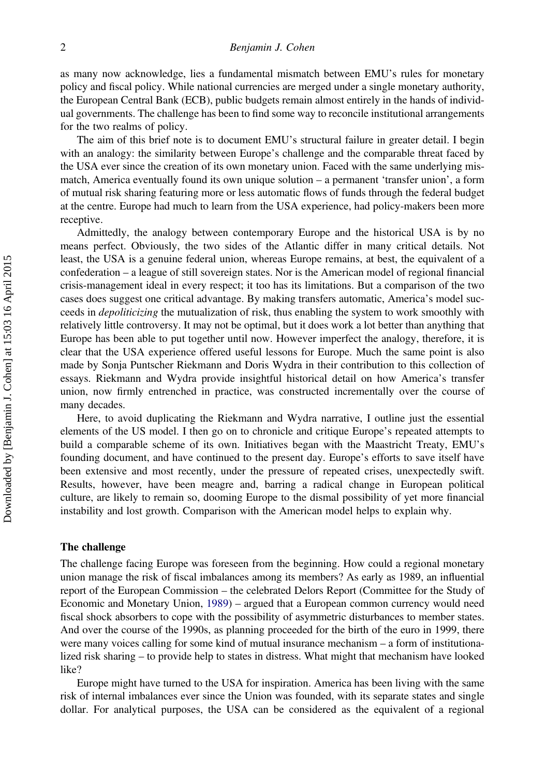as many now acknowledge, lies a fundamental mismatch between EMU's rules for monetary policy and fiscal policy. While national currencies are merged under a single monetary authority, the European Central Bank (ECB), public budgets remain almost entirely in the hands of individual governments. The challenge has been to find some way to reconcile institutional arrangements for the two realms of policy.

The aim of this brief note is to document EMU's structural failure in greater detail. I begin with an analogy: the similarity between Europe's challenge and the comparable threat faced by the USA ever since the creation of its own monetary union. Faced with the same underlying mismatch, America eventually found its own unique solution – a permanent 'transfer union', a form of mutual risk sharing featuring more or less automatic flows of funds through the federal budget at the centre. Europe had much to learn from the USA experience, had policy-makers been more receptive.

Admittedly, the analogy between contemporary Europe and the historical USA is by no means perfect. Obviously, the two sides of the Atlantic differ in many critical details. Not least, the USA is a genuine federal union, whereas Europe remains, at best, the equivalent of a confederation – a league of still sovereign states. Nor is the American model of regional financial crisis-management ideal in every respect; it too has its limitations. But a comparison of the two cases does suggest one critical advantage. By making transfers automatic, America's model succeeds in depoliticizing the mutualization of risk, thus enabling the system to work smoothly with relatively little controversy. It may not be optimal, but it does work a lot better than anything that Europe has been able to put together until now. However imperfect the analogy, therefore, it is clear that the USA experience offered useful lessons for Europe. Much the same point is also made by Sonja Puntscher Riekmann and Doris Wydra in their contribution to this collection of essays. Riekmann and Wydra provide insightful historical detail on how America's transfer union, now firmly entrenched in practice, was constructed incrementally over the course of many decades.

Here, to avoid duplicating the Riekmann and Wydra narrative, I outline just the essential elements of the US model. I then go on to chronicle and critique Europe's repeated attempts to build a comparable scheme of its own. Initiatives began with the Maastricht Treaty, EMU's founding document, and have continued to the present day. Europe's efforts to save itself have been extensive and most recently, under the pressure of repeated crises, unexpectedly swift. Results, however, have been meagre and, barring a radical change in European political culture, are likely to remain so, dooming Europe to the dismal possibility of yet more financial instability and lost growth. Comparison with the American model helps to explain why.

#### The challenge

The challenge facing Europe was foreseen from the beginning. How could a regional monetary union manage the risk of fiscal imbalances among its members? As early as 1989, an influential report of the European Commission – the celebrated Delors Report (Committee for the Study of Economic and Monetary Union, [1989\)](#page-12-0) – argued that a European common currency would need fiscal shock absorbers to cope with the possibility of asymmetric disturbances to member states. And over the course of the 1990s, as planning proceeded for the birth of the euro in 1999, there were many voices calling for some kind of mutual insurance mechanism – a form of institutionalized risk sharing – to provide help to states in distress. What might that mechanism have looked like?

Europe might have turned to the USA for inspiration. America has been living with the same risk of internal imbalances ever since the Union was founded, with its separate states and single dollar. For analytical purposes, the USA can be considered as the equivalent of a regional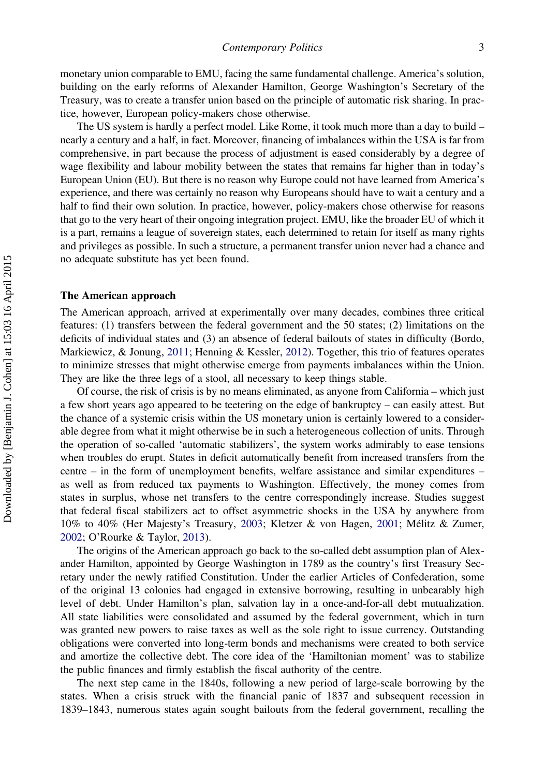monetary union comparable to EMU, facing the same fundamental challenge. America's solution, building on the early reforms of Alexander Hamilton, George Washington's Secretary of the Treasury, was to create a transfer union based on the principle of automatic risk sharing. In practice, however, European policy-makers chose otherwise.

The US system is hardly a perfect model. Like Rome, it took much more than a day to build – nearly a century and a half, in fact. Moreover, financing of imbalances within the USA is far from comprehensive, in part because the process of adjustment is eased considerably by a degree of wage flexibility and labour mobility between the states that remains far higher than in today's European Union (EU). But there is no reason why Europe could not have learned from America's experience, and there was certainly no reason why Europeans should have to wait a century and a half to find their own solution. In practice, however, policy-makers chose otherwise for reasons that go to the very heart of their ongoing integration project. EMU, like the broader EU of which it is a part, remains a league of sovereign states, each determined to retain for itself as many rights and privileges as possible. In such a structure, a permanent transfer union never had a chance and no adequate substitute has yet been found.

#### The American approach

The American approach, arrived at experimentally over many decades, combines three critical features: (1) transfers between the federal government and the 50 states; (2) limitations on the deficits of individual states and (3) an absence of federal bailouts of states in difficulty (Bordo, Markiewicz, & Jonung, [2011](#page-12-0); Henning & Kessler, [2012\)](#page-12-0). Together, this trio of features operates to minimize stresses that might otherwise emerge from payments imbalances within the Union. They are like the three legs of a stool, all necessary to keep things stable.

Of course, the risk of crisis is by no means eliminated, as anyone from California – which just a few short years ago appeared to be teetering on the edge of bankruptcy – can easily attest. But the chance of a systemic crisis within the US monetary union is certainly lowered to a considerable degree from what it might otherwise be in such a heterogeneous collection of units. Through the operation of so-called 'automatic stabilizers', the system works admirably to ease tensions when troubles do erupt. States in deficit automatically benefit from increased transfers from the centre – in the form of unemployment benefits, welfare assistance and similar expenditures – as well as from reduced tax payments to Washington. Effectively, the money comes from states in surplus, whose net transfers to the centre correspondingly increase. Studies suggest that federal fiscal stabilizers act to offset asymmetric shocks in the USA by anywhere from 10% to 40% (Her Majesty's Treasury, [2003](#page-12-0); Kletzer & von Hagen, [2001](#page-12-0); Mélitz & Zumer, [2002;](#page-12-0) O'Rourke & Taylor, [2013\)](#page-12-0).

The origins of the American approach go back to the so-called debt assumption plan of Alexander Hamilton, appointed by George Washington in 1789 as the country's first Treasury Secretary under the newly ratified Constitution. Under the earlier Articles of Confederation, some of the original 13 colonies had engaged in extensive borrowing, resulting in unbearably high level of debt. Under Hamilton's plan, salvation lay in a once-and-for-all debt mutualization. All state liabilities were consolidated and assumed by the federal government, which in turn was granted new powers to raise taxes as well as the sole right to issue currency. Outstanding obligations were converted into long-term bonds and mechanisms were created to both service and amortize the collective debt. The core idea of the 'Hamiltonian moment' was to stabilize the public finances and firmly establish the fiscal authority of the centre.

The next step came in the 1840s, following a new period of large-scale borrowing by the states. When a crisis struck with the financial panic of 1837 and subsequent recession in 1839–1843, numerous states again sought bailouts from the federal government, recalling the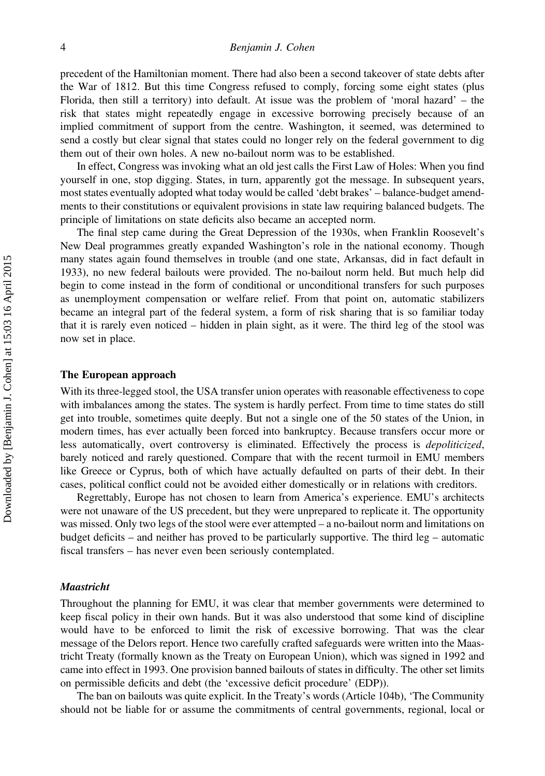precedent of the Hamiltonian moment. There had also been a second takeover of state debts after the War of 1812. But this time Congress refused to comply, forcing some eight states (plus Florida, then still a territory) into default. At issue was the problem of 'moral hazard' – the risk that states might repeatedly engage in excessive borrowing precisely because of an implied commitment of support from the centre. Washington, it seemed, was determined to send a costly but clear signal that states could no longer rely on the federal government to dig them out of their own holes. A new no-bailout norm was to be established.

In effect, Congress was invoking what an old jest calls the First Law of Holes: When you find yourself in one, stop digging. States, in turn, apparently got the message. In subsequent years, most states eventually adopted what today would be called 'debt brakes' – balance-budget amendments to their constitutions or equivalent provisions in state law requiring balanced budgets. The principle of limitations on state deficits also became an accepted norm.

The final step came during the Great Depression of the 1930s, when Franklin Roosevelt's New Deal programmes greatly expanded Washington's role in the national economy. Though many states again found themselves in trouble (and one state, Arkansas, did in fact default in 1933), no new federal bailouts were provided. The no-bailout norm held. But much help did begin to come instead in the form of conditional or unconditional transfers for such purposes as unemployment compensation or welfare relief. From that point on, automatic stabilizers became an integral part of the federal system, a form of risk sharing that is so familiar today that it is rarely even noticed – hidden in plain sight, as it were. The third leg of the stool was now set in place.

#### The European approach

With its three-legged stool, the USA transfer union operates with reasonable effectiveness to cope with imbalances among the states. The system is hardly perfect. From time to time states do still get into trouble, sometimes quite deeply. But not a single one of the 50 states of the Union, in modern times, has ever actually been forced into bankruptcy. Because transfers occur more or less automatically, overt controversy is eliminated. Effectively the process is depoliticized, barely noticed and rarely questioned. Compare that with the recent turmoil in EMU members like Greece or Cyprus, both of which have actually defaulted on parts of their debt. In their cases, political conflict could not be avoided either domestically or in relations with creditors.

Regrettably, Europe has not chosen to learn from America's experience. EMU's architects were not unaware of the US precedent, but they were unprepared to replicate it. The opportunity was missed. Only two legs of the stool were ever attempted – a no-bailout norm and limitations on budget deficits – and neither has proved to be particularly supportive. The third leg – automatic fiscal transfers – has never even been seriously contemplated.

#### Maastricht

Throughout the planning for EMU, it was clear that member governments were determined to keep fiscal policy in their own hands. But it was also understood that some kind of discipline would have to be enforced to limit the risk of excessive borrowing. That was the clear message of the Delors report. Hence two carefully crafted safeguards were written into the Maastricht Treaty (formally known as the Treaty on European Union), which was signed in 1992 and came into effect in 1993. One provision banned bailouts of states in difficulty. The other set limits on permissible deficits and debt (the 'excessive deficit procedure' (EDP)).

The ban on bailouts was quite explicit. In the Treaty's words (Article 104b), 'The Community should not be liable for or assume the commitments of central governments, regional, local or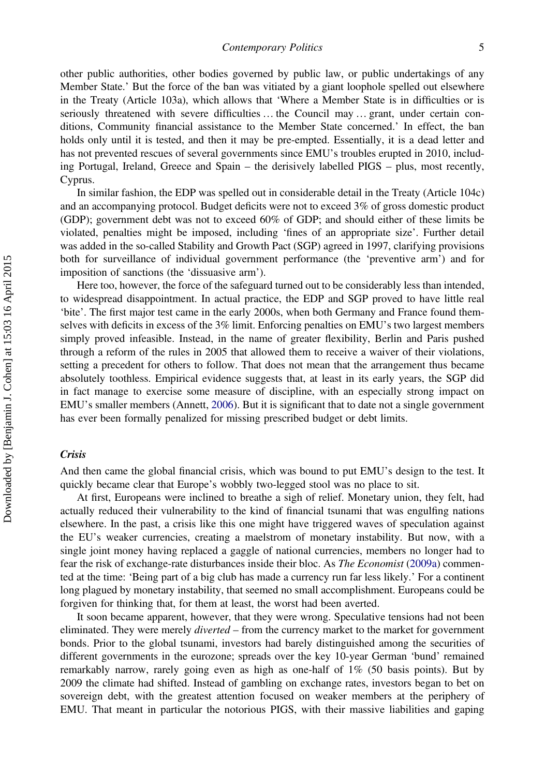other public authorities, other bodies governed by public law, or public undertakings of any Member State.' But the force of the ban was vitiated by a giant loophole spelled out elsewhere in the Treaty (Article 103a), which allows that 'Where a Member State is in difficulties or is seriously threatened with severe difficulties … the Council may … grant, under certain conditions, Community financial assistance to the Member State concerned.' In effect, the ban holds only until it is tested, and then it may be pre-empted. Essentially, it is a dead letter and has not prevented rescues of several governments since EMU's troubles erupted in 2010, including Portugal, Ireland, Greece and Spain – the derisively labelled PIGS – plus, most recently, Cyprus.

In similar fashion, the EDP was spelled out in considerable detail in the Treaty (Article 104c) and an accompanying protocol. Budget deficits were not to exceed 3% of gross domestic product (GDP); government debt was not to exceed 60% of GDP; and should either of these limits be violated, penalties might be imposed, including 'fines of an appropriate size'. Further detail was added in the so-called Stability and Growth Pact (SGP) agreed in 1997, clarifying provisions both for surveillance of individual government performance (the 'preventive arm') and for imposition of sanctions (the 'dissuasive arm').

Here too, however, the force of the safeguard turned out to be considerably less than intended, to widespread disappointment. In actual practice, the EDP and SGP proved to have little real 'bite'. The first major test came in the early 2000s, when both Germany and France found themselves with deficits in excess of the 3% limit. Enforcing penalties on EMU's two largest members simply proved infeasible. Instead, in the name of greater flexibility, Berlin and Paris pushed through a reform of the rules in 2005 that allowed them to receive a waiver of their violations, setting a precedent for others to follow. That does not mean that the arrangement thus became absolutely toothless. Empirical evidence suggests that, at least in its early years, the SGP did in fact manage to exercise some measure of discipline, with an especially strong impact on EMU's smaller members (Annett, [2006](#page-12-0)). But it is significant that to date not a single government has ever been formally penalized for missing prescribed budget or debt limits.

#### **Crisis**

And then came the global financial crisis, which was bound to put EMU's design to the test. It quickly became clear that Europe's wobbly two-legged stool was no place to sit.

At first, Europeans were inclined to breathe a sigh of relief. Monetary union, they felt, had actually reduced their vulnerability to the kind of financial tsunami that was engulfing nations elsewhere. In the past, a crisis like this one might have triggered waves of speculation against the EU's weaker currencies, creating a maelstrom of monetary instability. But now, with a single joint money having replaced a gaggle of national currencies, members no longer had to fear the risk of exchange-rate disturbances inside their bloc. As The Economist [\(2009a\)](#page-12-0) commented at the time: 'Being part of a big club has made a currency run far less likely.' For a continent long plagued by monetary instability, that seemed no small accomplishment. Europeans could be forgiven for thinking that, for them at least, the worst had been averted.

It soon became apparent, however, that they were wrong. Speculative tensions had not been eliminated. They were merely *diverted* – from the currency market to the market for government bonds. Prior to the global tsunami, investors had barely distinguished among the securities of different governments in the eurozone; spreads over the key 10-year German 'bund' remained remarkably narrow, rarely going even as high as one-half of 1% (50 basis points). But by 2009 the climate had shifted. Instead of gambling on exchange rates, investors began to bet on sovereign debt, with the greatest attention focused on weaker members at the periphery of EMU. That meant in particular the notorious PIGS, with their massive liabilities and gaping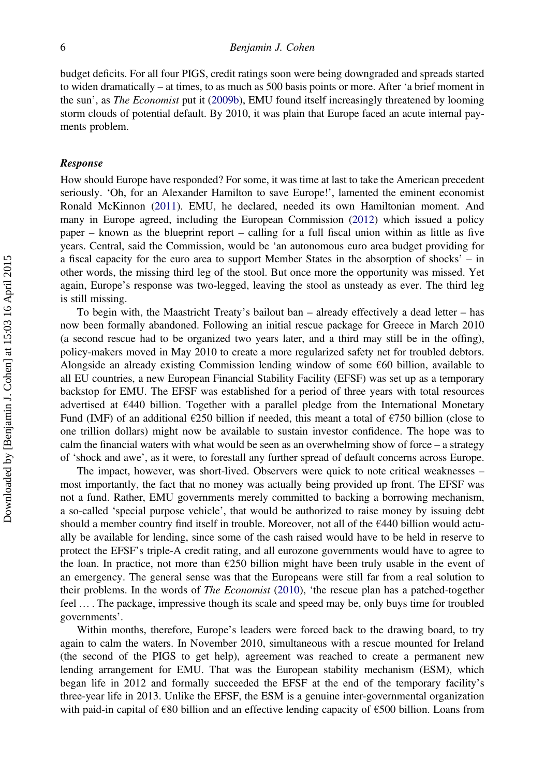budget deficits. For all four PIGS, credit ratings soon were being downgraded and spreads started to widen dramatically – at times, to as much as 500 basis points or more. After 'a brief moment in the sun', as *The Economist* put it [\(2009b\)](#page-12-0), EMU found itself increasingly threatened by looming storm clouds of potential default. By 2010, it was plain that Europe faced an acute internal payments problem.

#### Response

How should Europe have responded? For some, it was time at last to take the American precedent seriously. 'Oh, for an Alexander Hamilton to save Europe!', lamented the eminent economist Ronald McKinnon [\(2011](#page-12-0)). EMU, he declared, needed its own Hamiltonian moment. And many in Europe agreed, including the European Commission [\(2012](#page-12-0)) which issued a policy paper – known as the blueprint report – calling for a full fiscal union within as little as five years. Central, said the Commission, would be 'an autonomous euro area budget providing for a fiscal capacity for the euro area to support Member States in the absorption of shocks' – in other words, the missing third leg of the stool. But once more the opportunity was missed. Yet again, Europe's response was two-legged, leaving the stool as unsteady as ever. The third leg is still missing.

To begin with, the Maastricht Treaty's bailout ban – already effectively a dead letter – has now been formally abandoned. Following an initial rescue package for Greece in March 2010 (a second rescue had to be organized two years later, and a third may still be in the offing), policy-makers moved in May 2010 to create a more regularized safety net for troubled debtors. Alongside an already existing Commission lending window of some €60 billion, available to all EU countries, a new European Financial Stability Facility (EFSF) was set up as a temporary backstop for EMU. The EFSF was established for a period of three years with total resources advertised at  $\epsilon$ 440 billion. Together with a parallel pledge from the International Monetary Fund (IMF) of an additional  $\epsilon$ 250 billion if needed, this meant a total of  $\epsilon$ 750 billion (close to one trillion dollars) might now be available to sustain investor confidence. The hope was to calm the financial waters with what would be seen as an overwhelming show of force – a strategy of 'shock and awe', as it were, to forestall any further spread of default concerns across Europe.

The impact, however, was short-lived. Observers were quick to note critical weaknesses – most importantly, the fact that no money was actually being provided up front. The EFSF was not a fund. Rather, EMU governments merely committed to backing a borrowing mechanism, a so-called 'special purpose vehicle', that would be authorized to raise money by issuing debt should a member country find itself in trouble. Moreover, not all of the  $\epsilon$ 440 billion would actually be available for lending, since some of the cash raised would have to be held in reserve to protect the EFSF's triple-A credit rating, and all eurozone governments would have to agree to the loan. In practice, not more than  $\epsilon$ 250 billion might have been truly usable in the event of an emergency. The general sense was that the Europeans were still far from a real solution to their problems. In the words of The Economist [\(2010](#page-12-0)), 'the rescue plan has a patched-together feel … . The package, impressive though its scale and speed may be, only buys time for troubled governments'.

Within months, therefore, Europe's leaders were forced back to the drawing board, to try again to calm the waters. In November 2010, simultaneous with a rescue mounted for Ireland (the second of the PIGS to get help), agreement was reached to create a permanent new lending arrangement for EMU. That was the European stability mechanism (ESM), which began life in 2012 and formally succeeded the EFSF at the end of the temporary facility's three-year life in 2013. Unlike the EFSF, the ESM is a genuine inter-governmental organization with paid-in capital of €80 billion and an effective lending capacity of €500 billion. Loans from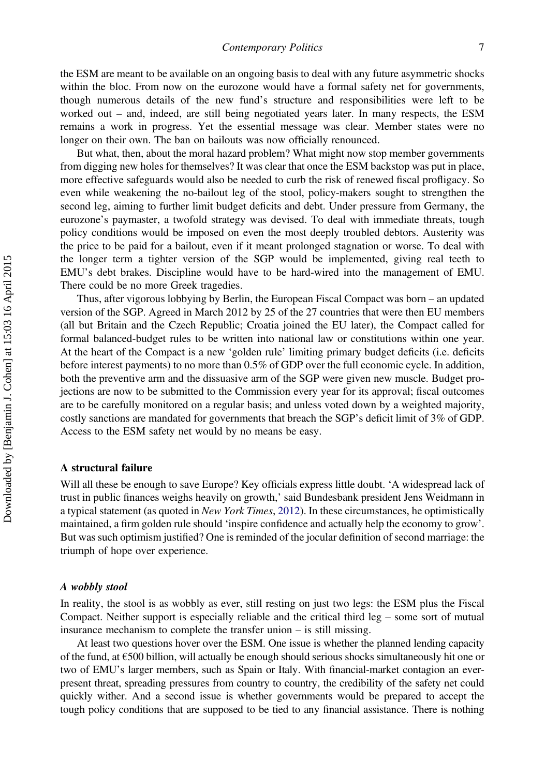the ESM are meant to be available on an ongoing basis to deal with any future asymmetric shocks within the bloc. From now on the eurozone would have a formal safety net for governments, though numerous details of the new fund's structure and responsibilities were left to be worked out – and, indeed, are still being negotiated years later. In many respects, the ESM remains a work in progress. Yet the essential message was clear. Member states were no longer on their own. The ban on bailouts was now officially renounced.

But what, then, about the moral hazard problem? What might now stop member governments from digging new holes for themselves? It was clear that once the ESM backstop was put in place, more effective safeguards would also be needed to curb the risk of renewed fiscal profligacy. So even while weakening the no-bailout leg of the stool, policy-makers sought to strengthen the second leg, aiming to further limit budget deficits and debt. Under pressure from Germany, the eurozone's paymaster, a twofold strategy was devised. To deal with immediate threats, tough policy conditions would be imposed on even the most deeply troubled debtors. Austerity was the price to be paid for a bailout, even if it meant prolonged stagnation or worse. To deal with the longer term a tighter version of the SGP would be implemented, giving real teeth to EMU's debt brakes. Discipline would have to be hard-wired into the management of EMU. There could be no more Greek tragedies.

Thus, after vigorous lobbying by Berlin, the European Fiscal Compact was born – an updated version of the SGP. Agreed in March 2012 by 25 of the 27 countries that were then EU members (all but Britain and the Czech Republic; Croatia joined the EU later), the Compact called for formal balanced-budget rules to be written into national law or constitutions within one year. At the heart of the Compact is a new 'golden rule' limiting primary budget deficits (i.e. deficits before interest payments) to no more than 0.5% of GDP over the full economic cycle. In addition, both the preventive arm and the dissuasive arm of the SGP were given new muscle. Budget projections are now to be submitted to the Commission every year for its approval; fiscal outcomes are to be carefully monitored on a regular basis; and unless voted down by a weighted majority, costly sanctions are mandated for governments that breach the SGP's deficit limit of 3% of GDP. Access to the ESM safety net would by no means be easy.

#### A structural failure

Will all these be enough to save Europe? Key officials express little doubt. 'A widespread lack of trust in public finances weighs heavily on growth,' said Bundesbank president Jens Weidmann in a typical statement (as quoted in New York Times, [2012\)](#page-12-0). In these circumstances, he optimistically maintained, a firm golden rule should 'inspire confidence and actually help the economy to grow'. But was such optimism justified? One is reminded of the jocular definition of second marriage: the triumph of hope over experience.

#### A wobbly stool

In reality, the stool is as wobbly as ever, still resting on just two legs: the ESM plus the Fiscal Compact. Neither support is especially reliable and the critical third leg – some sort of mutual insurance mechanism to complete the transfer union – is still missing.

At least two questions hover over the ESM. One issue is whether the planned lending capacity of the fund, at €500 billion, will actually be enough should serious shocks simultaneously hit one or two of EMU's larger members, such as Spain or Italy. With financial-market contagion an everpresent threat, spreading pressures from country to country, the credibility of the safety net could quickly wither. And a second issue is whether governments would be prepared to accept the tough policy conditions that are supposed to be tied to any financial assistance. There is nothing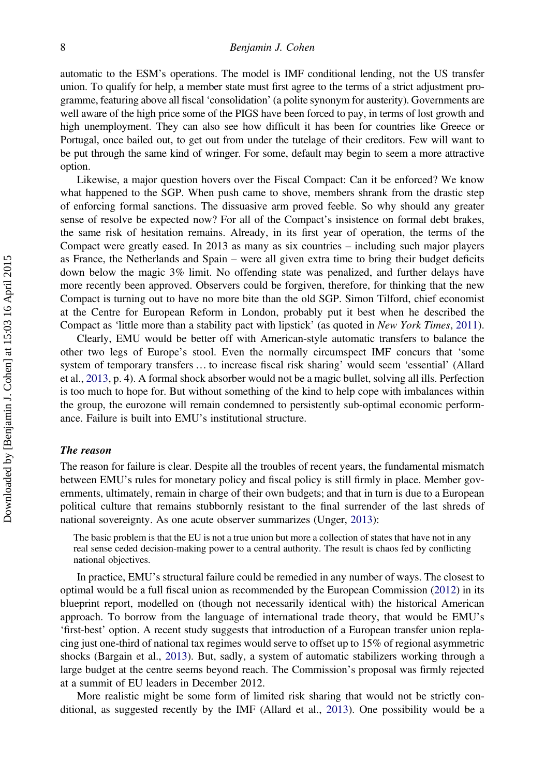automatic to the ESM's operations. The model is IMF conditional lending, not the US transfer union. To qualify for help, a member state must first agree to the terms of a strict adjustment programme, featuring above all fiscal 'consolidation' (a polite synonym for austerity). Governments are well aware of the high price some of the PIGS have been forced to pay, in terms of lost growth and high unemployment. They can also see how difficult it has been for countries like Greece or Portugal, once bailed out, to get out from under the tutelage of their creditors. Few will want to be put through the same kind of wringer. For some, default may begin to seem a more attractive option.

Likewise, a major question hovers over the Fiscal Compact: Can it be enforced? We know what happened to the SGP. When push came to shove, members shrank from the drastic step of enforcing formal sanctions. The dissuasive arm proved feeble. So why should any greater sense of resolve be expected now? For all of the Compact's insistence on formal debt brakes, the same risk of hesitation remains. Already, in its first year of operation, the terms of the Compact were greatly eased. In 2013 as many as six countries – including such major players as France, the Netherlands and Spain – were all given extra time to bring their budget deficits down below the magic 3% limit. No offending state was penalized, and further delays have more recently been approved. Observers could be forgiven, therefore, for thinking that the new Compact is turning out to have no more bite than the old SGP. Simon Tilford, chief economist at the Centre for European Reform in London, probably put it best when he described the Compact as 'little more than a stability pact with lipstick' (as quoted in New York Times, [2011\)](#page-12-0).

Clearly, EMU would be better off with American-style automatic transfers to balance the other two legs of Europe's stool. Even the normally circumspect IMF concurs that 'some system of temporary transfers … to increase fiscal risk sharing' would seem 'essential' (Allard et al., [2013](#page-12-0), p. 4). A formal shock absorber would not be a magic bullet, solving all ills. Perfection is too much to hope for. But without something of the kind to help cope with imbalances within the group, the eurozone will remain condemned to persistently sub-optimal economic performance. Failure is built into EMU's institutional structure.

#### The reason

The reason for failure is clear. Despite all the troubles of recent years, the fundamental mismatch between EMU's rules for monetary policy and fiscal policy is still firmly in place. Member governments, ultimately, remain in charge of their own budgets; and that in turn is due to a European political culture that remains stubbornly resistant to the final surrender of the last shreds of national sovereignty. As one acute observer summarizes (Unger, [2013](#page-12-0)):

The basic problem is that the EU is not a true union but more a collection of states that have not in any real sense ceded decision-making power to a central authority. The result is chaos fed by conflicting national objectives.

In practice, EMU's structural failure could be remedied in any number of ways. The closest to optimal would be a full fiscal union as recommended by the European Commission [\(2012](#page-12-0)) in its blueprint report, modelled on (though not necessarily identical with) the historical American approach. To borrow from the language of international trade theory, that would be EMU's 'first-best' option. A recent study suggests that introduction of a European transfer union replacing just one-third of national tax regimes would serve to offset up to 15% of regional asymmetric shocks (Bargain et al., [2013\)](#page-12-0). But, sadly, a system of automatic stabilizers working through a large budget at the centre seems beyond reach. The Commission's proposal was firmly rejected at a summit of EU leaders in December 2012.

More realistic might be some form of limited risk sharing that would not be strictly conditional, as suggested recently by the IMF (Allard et al., [2013\)](#page-12-0). One possibility would be a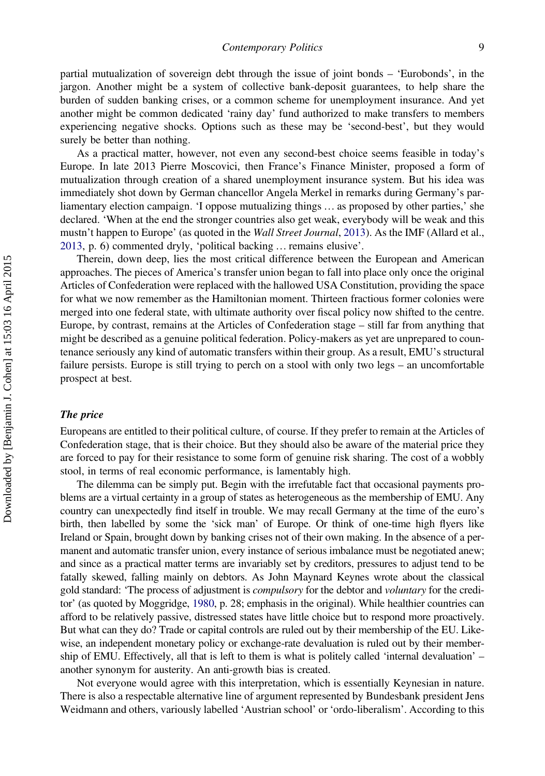partial mutualization of sovereign debt through the issue of joint bonds – 'Eurobonds', in the jargon. Another might be a system of collective bank-deposit guarantees, to help share the burden of sudden banking crises, or a common scheme for unemployment insurance. And yet another might be common dedicated 'rainy day' fund authorized to make transfers to members experiencing negative shocks. Options such as these may be 'second-best', but they would surely be better than nothing.

As a practical matter, however, not even any second-best choice seems feasible in today's Europe. In late 2013 Pierre Moscovici, then France's Finance Minister, proposed a form of mutualization through creation of a shared unemployment insurance system. But his idea was immediately shot down by German chancellor Angela Merkel in remarks during Germany's parliamentary election campaign. 'I oppose mutualizing things … as proposed by other parties,' she declared. 'When at the end the stronger countries also get weak, everybody will be weak and this mustn't happen to Europe' (as quoted in the *Wall Street Journal*, [2013](#page-12-0)). As the IMF (Allard et al., [2013,](#page-12-0) p. 6) commented dryly, 'political backing … remains elusive'.

Therein, down deep, lies the most critical difference between the European and American approaches. The pieces of America's transfer union began to fall into place only once the original Articles of Confederation were replaced with the hallowed USA Constitution, providing the space for what we now remember as the Hamiltonian moment. Thirteen fractious former colonies were merged into one federal state, with ultimate authority over fiscal policy now shifted to the centre. Europe, by contrast, remains at the Articles of Confederation stage – still far from anything that might be described as a genuine political federation. Policy-makers as yet are unprepared to countenance seriously any kind of automatic transfers within their group. As a result, EMU's structural failure persists. Europe is still trying to perch on a stool with only two legs – an uncomfortable prospect at best.

#### The price

Europeans are entitled to their political culture, of course. If they prefer to remain at the Articles of Confederation stage, that is their choice. But they should also be aware of the material price they are forced to pay for their resistance to some form of genuine risk sharing. The cost of a wobbly stool, in terms of real economic performance, is lamentably high.

The dilemma can be simply put. Begin with the irrefutable fact that occasional payments problems are a virtual certainty in a group of states as heterogeneous as the membership of EMU. Any country can unexpectedly find itself in trouble. We may recall Germany at the time of the euro's birth, then labelled by some the 'sick man' of Europe. Or think of one-time high flyers like Ireland or Spain, brought down by banking crises not of their own making. In the absence of a permanent and automatic transfer union, every instance of serious imbalance must be negotiated anew; and since as a practical matter terms are invariably set by creditors, pressures to adjust tend to be fatally skewed, falling mainly on debtors. As John Maynard Keynes wrote about the classical gold standard: 'The process of adjustment is compulsory for the debtor and voluntary for the creditor' (as quoted by Moggridge, [1980,](#page-12-0) p. 28; emphasis in the original). While healthier countries can afford to be relatively passive, distressed states have little choice but to respond more proactively. But what can they do? Trade or capital controls are ruled out by their membership of the EU. Likewise, an independent monetary policy or exchange-rate devaluation is ruled out by their membership of EMU. Effectively, all that is left to them is what is politely called 'internal devaluation' – another synonym for austerity. An anti-growth bias is created.

Not everyone would agree with this interpretation, which is essentially Keynesian in nature. There is also a respectable alternative line of argument represented by Bundesbank president Jens Weidmann and others, variously labelled 'Austrian school' or 'ordo-liberalism'. According to this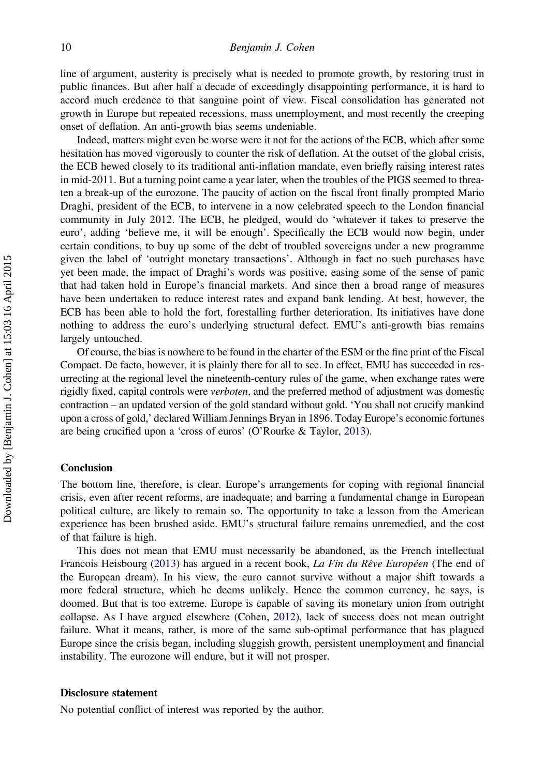line of argument, austerity is precisely what is needed to promote growth, by restoring trust in public finances. But after half a decade of exceedingly disappointing performance, it is hard to accord much credence to that sanguine point of view. Fiscal consolidation has generated not growth in Europe but repeated recessions, mass unemployment, and most recently the creeping onset of deflation. An anti-growth bias seems undeniable.

Indeed, matters might even be worse were it not for the actions of the ECB, which after some hesitation has moved vigorously to counter the risk of deflation. At the outset of the global crisis, the ECB hewed closely to its traditional anti-inflation mandate, even briefly raising interest rates in mid-2011. But a turning point came a year later, when the troubles of the PIGS seemed to threaten a break-up of the eurozone. The paucity of action on the fiscal front finally prompted Mario Draghi, president of the ECB, to intervene in a now celebrated speech to the London financial community in July 2012. The ECB, he pledged, would do 'whatever it takes to preserve the euro', adding 'believe me, it will be enough'. Specifically the ECB would now begin, under certain conditions, to buy up some of the debt of troubled sovereigns under a new programme given the label of 'outright monetary transactions'. Although in fact no such purchases have yet been made, the impact of Draghi's words was positive, easing some of the sense of panic that had taken hold in Europe's financial markets. And since then a broad range of measures have been undertaken to reduce interest rates and expand bank lending. At best, however, the ECB has been able to hold the fort, forestalling further deterioration. Its initiatives have done nothing to address the euro's underlying structural defect. EMU's anti-growth bias remains largely untouched.

Of course, the bias is nowhere to be found in the charter of the ESM or the fine print of the Fiscal Compact. De facto, however, it is plainly there for all to see. In effect, EMU has succeeded in resurrecting at the regional level the nineteenth-century rules of the game, when exchange rates were rigidly fixed, capital controls were verboten, and the preferred method of adjustment was domestic contraction – an updated version of the gold standard without gold. 'You shall not crucify mankind upon a cross of gold,' declared William Jennings Bryan in 1896. Today Europe's economic fortunes are being crucified upon a 'cross of euros' (O'Rourke & Taylor, [2013](#page-12-0)).

#### Conclusion

The bottom line, therefore, is clear. Europe's arrangements for coping with regional financial crisis, even after recent reforms, are inadequate; and barring a fundamental change in European political culture, are likely to remain so. The opportunity to take a lesson from the American experience has been brushed aside. EMU's structural failure remains unremedied, and the cost of that failure is high.

This does not mean that EMU must necessarily be abandoned, as the French intellectual Francois Heisbourg ([2013\)](#page-12-0) has argued in a recent book, La Fin du Rêve Européen (The end of the European dream). In his view, the euro cannot survive without a major shift towards a more federal structure, which he deems unlikely. Hence the common currency, he says, is doomed. But that is too extreme. Europe is capable of saving its monetary union from outright collapse. As I have argued elsewhere (Cohen, [2012\)](#page-12-0), lack of success does not mean outright failure. What it means, rather, is more of the same sub-optimal performance that has plagued Europe since the crisis began, including sluggish growth, persistent unemployment and financial instability. The eurozone will endure, but it will not prosper.

#### Disclosure statement

No potential conflict of interest was reported by the author.